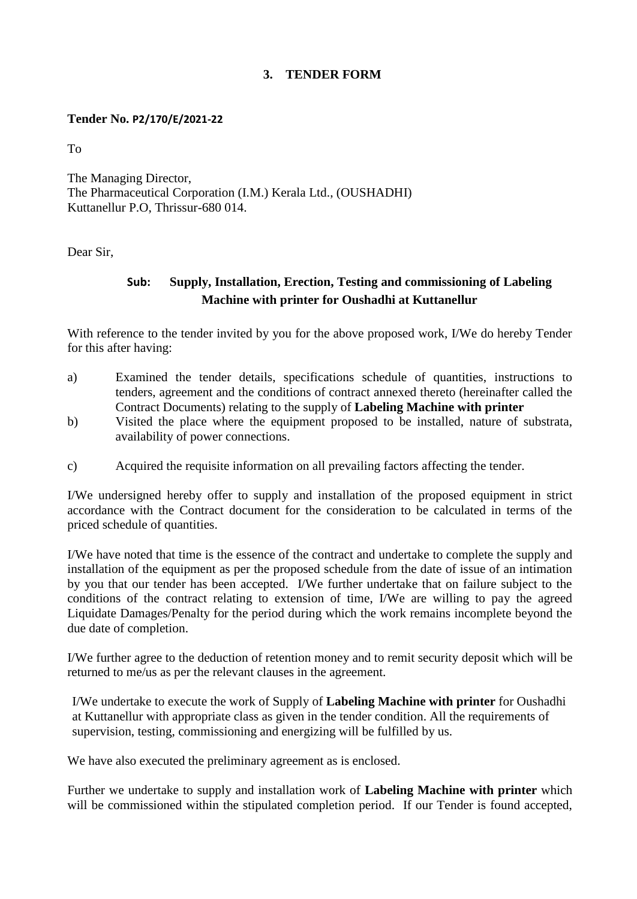## **3. TENDER FORM**

## **Tender No. P2/170/E/2021-22**

To

The Managing Director, The Pharmaceutical Corporation (I.M.) Kerala Ltd., (OUSHADHI) Kuttanellur P.O, Thrissur-680 014.

Dear Sir,

## **Sub: Supply, Installation, Erection, Testing and commissioning of Labeling Machine with printer for Oushadhi at Kuttanellur**

With reference to the tender invited by you for the above proposed work, I/We do hereby Tender for this after having:

- a) Examined the tender details, specifications schedule of quantities, instructions to tenders, agreement and the conditions of contract annexed thereto (hereinafter called the Contract Documents) relating to the supply of **Labeling Machine with printer**
- b) Visited the place where the equipment proposed to be installed, nature of substrata, availability of power connections.
- c) Acquired the requisite information on all prevailing factors affecting the tender.

I/We undersigned hereby offer to supply and installation of the proposed equipment in strict accordance with the Contract document for the consideration to be calculated in terms of the priced schedule of quantities.

I/We have noted that time is the essence of the contract and undertake to complete the supply and installation of the equipment as per the proposed schedule from the date of issue of an intimation by you that our tender has been accepted. I/We further undertake that on failure subject to the conditions of the contract relating to extension of time, I/We are willing to pay the agreed Liquidate Damages/Penalty for the period during which the work remains incomplete beyond the due date of completion.

I/We further agree to the deduction of retention money and to remit security deposit which will be returned to me/us as per the relevant clauses in the agreement.

I/We undertake to execute the work of Supply of **Labeling Machine with printer** for Oushadhi at Kuttanellur with appropriate class as given in the tender condition. All the requirements of supervision, testing, commissioning and energizing will be fulfilled by us.

We have also executed the preliminary agreement as is enclosed.

Further we undertake to supply and installation work of **Labeling Machine with printer** which will be commissioned within the stipulated completion period. If our Tender is found accepted,